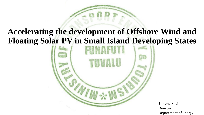## **Accelerating the development of Offshore Wind and Floating Solar PV in Small Island Developing States**



**Simona Kilei** Director Department of Energy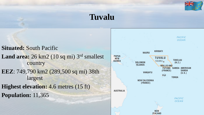

## **Tuvalu**

**Situated:** South Pacific Land area: 26 km2 (10 sq mi) 3<sup>rd</sup> smallest country **EEZ**: 749,790 km2 (289,500 sq mi) 38th largest **Highest elevation:** 4.6 metres (15 ft) **Population:** 11,365

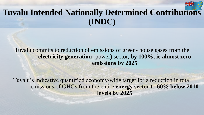# **Tuvalu Intended Nationally Determined Contributions (INDC)**

### Tuvalu commits to reduction of emissions of green- house gases from the **electricity generation** (power) sector, **by 100%, ie almost zero emissions by 2025**

Tuvalu's indicative quantified economy-wide target for a reduction in total emissions of GHGs from the entire **energy sector** to **60% below 2010 levels by 2025**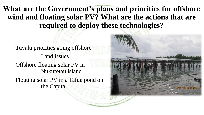**What are the Government's plans and priorities for offshore wind and floating solar PV? What are the actions that are required to deploy these technologies?**

Tuvalu priorities going offshore Land issues Offshore floating solar PV in Nukufetau island Floating solar PV in a Tafua pond on the Capital

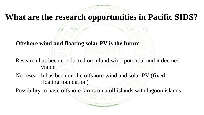### **What are the research opportunities in Pacific SIDS?**

### **Offshore wind and floating solar PV is the future**

Research has been conducted on inland wind potential and it deemed viable

No research has been on the offshore wind and solar PV (fixed or floating foundation)

Possibility to have offshore farms on atoll islands with lagoon islands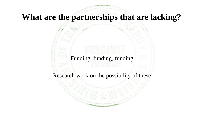## **What are the partnerships that are lacking?**

### Funding, funding, funding

#### Research work on the possibility of these